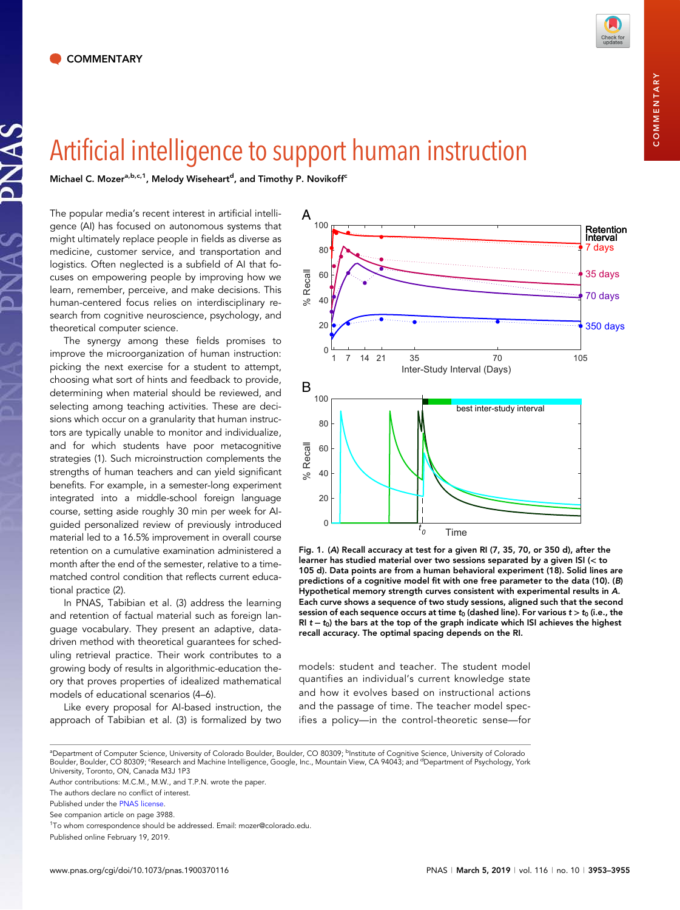JAS

Michael C. Mozer<sup>a,b,c,1</sup>, Melody Wiseheart<sup>d</sup>, and Timothy P. Novikoff<sup>c</sup>

The popular media's recent interest in artificial intelligence (AI) has focused on autonomous systems that might ultimately replace people in fields as diverse as medicine, customer service, and transportation and logistics. Often neglected is a subfield of AI that focuses on empowering people by improving how we learn, remember, perceive, and make decisions. This human-centered focus relies on interdisciplinary research from cognitive neuroscience, psychology, and theoretical computer science.

The synergy among these fields promises to improve the microorganization of human instruction: picking the next exercise for a student to attempt, choosing what sort of hints and feedback to provide, determining when material should be reviewed, and selecting among teaching activities. These are decisions which occur on a granularity that human instructors are typically unable to monitor and individualize, and for which students have poor metacognitive strategies (1). Such microinstruction complements the strengths of human teachers and can yield significant benefits. For example, in a semester-long experiment integrated into a middle-school foreign language course, setting aside roughly 30 min per week for AIguided personalized review of previously introduced material led to a 16.5% improvement in overall course retention on a cumulative examination administered a month after the end of the semester, relative to a timematched control condition that reflects current educational practice (2).

In PNAS, Tabibian et al. (3) address the learning and retention of factual material such as foreign language vocabulary. They present an adaptive, datadriven method with theoretical guarantees for scheduling retrieval practice. Their work contributes to a growing body of results in algorithmic-education theory that proves properties of idealized mathematical models of educational scenarios (4–6).

Like every proposal for AI-based instruction, the approach of Tabibian et al. (3) is formalized by two



Fig. 1. (A) Recall accuracy at test for a given RI (7, 35, 70, or 350 d), after the learner has studied material over two sessions separated by a given ISI (< to 105 d). Data points are from a human behavioral experiment (18). Solid lines are predictions of a cognitive model fit with one free parameter to the data (10). (B) Hypothetical memory strength curves consistent with experimental results in A. Each curve shows a sequence of two study sessions, aligned such that the second session of each sequence occurs at time  $t_0$  (dashed line). For various  $t > t_0$  (i.e., the RI  $t - t_0$ ) the bars at the top of the graph indicate which ISI achieves the highest recall accuracy. The optimal spacing depends on the RI.

models: student and teacher. The student model quantifies an individual's current knowledge state and how it evolves based on instructional actions and the passage of time. The teacher model specifies a policy—in the control-theoretic sense—for

<sup>&</sup>lt;sup>a</sup>Department of Computer Science, University of Colorado Boulder, Boulder, CO 80309; <sup>b</sup>Institute of Cognitive Science, University of Colorado Boulder, Boulder, CO 80309; 'Research and Machine Intelligence, Google, Inc., Mountain View, CA 94043; and <sup>d</sup>Department of Psychology, York University, Toronto, ON, Canada M3J 1P3

Author contributions: M.C.M., M.W., and T.P.N. wrote the paper.

The authors declare no conflict of interest.

Published under the [PNAS license.](https://www.pnas.org/site/aboutpnas/licenses.xhtml)

See companion article on page 3988.

<sup>&</sup>lt;sup>1</sup>To whom correspondence should be addressed. Email: [mozer@colorado.edu](mailto:mozer@colorado.edu).

Published online February 19, 2019.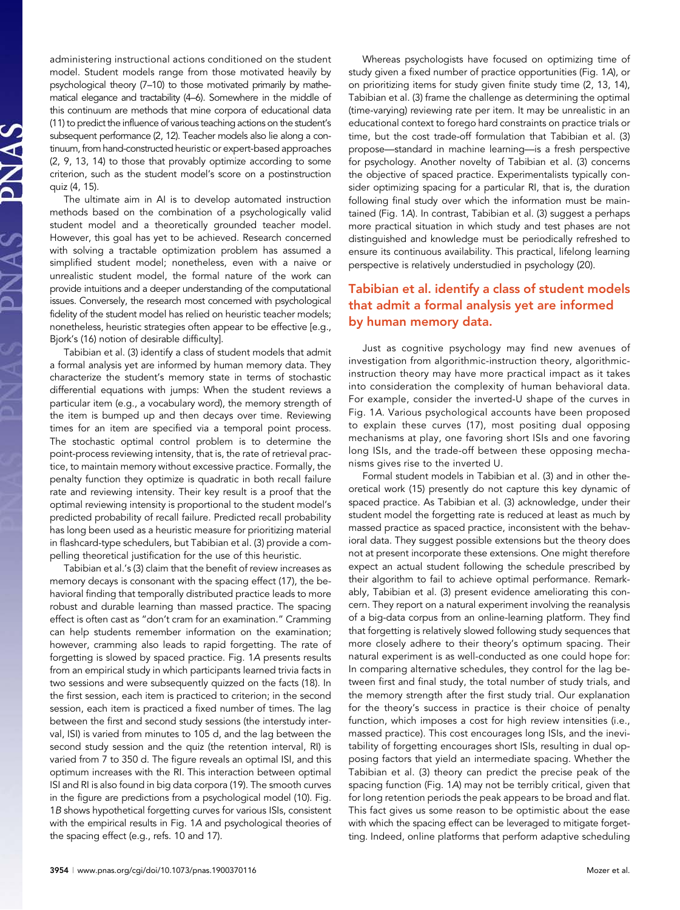administering instructional actions conditioned on the student model. Student models range from those motivated heavily by psychological theory (7–10) to those motivated primarily by mathematical elegance and tractability (4–6). Somewhere in the middle of this continuum are methods that mine corpora of educational data (11) to predict the influence of various teaching actions on the student's subsequent performance (2, 12). Teacher models also lie along a continuum, from hand-constructed heuristic or expert-based approaches (2, 9, 13, 14) to those that provably optimize according to some criterion, such as the student model's score on a postinstruction quiz (4, 15).

The ultimate aim in AI is to develop automated instruction methods based on the combination of a psychologically valid student model and a theoretically grounded teacher model. However, this goal has yet to be achieved. Research concerned with solving a tractable optimization problem has assumed a simplified student model; nonetheless, even with a naive or unrealistic student model, the formal nature of the work can provide intuitions and a deeper understanding of the computational issues. Conversely, the research most concerned with psychological fidelity of the student model has relied on heuristic teacher models; nonetheless, heuristic strategies often appear to be effective [e.g., Bjork's (16) notion of desirable difficulty].

Tabibian et al. (3) identify a class of student models that admit a formal analysis yet are informed by human memory data. They characterize the student's memory state in terms of stochastic differential equations with jumps: When the student reviews a particular item (e.g., a vocabulary word), the memory strength of the item is bumped up and then decays over time. Reviewing times for an item are specified via a temporal point process. The stochastic optimal control problem is to determine the point-process reviewing intensity, that is, the rate of retrieval practice, to maintain memory without excessive practice. Formally, the penalty function they optimize is quadratic in both recall failure rate and reviewing intensity. Their key result is a proof that the optimal reviewing intensity is proportional to the student model's predicted probability of recall failure. Predicted recall probability has long been used as a heuristic measure for prioritizing material in flashcard-type schedulers, but Tabibian et al. (3) provide a compelling theoretical justification for the use of this heuristic.

Tabibian et al.'s (3) claim that the benefit of review increases as memory decays is consonant with the spacing effect (17), the behavioral finding that temporally distributed practice leads to more robust and durable learning than massed practice. The spacing effect is often cast as "don't cram for an examination." Cramming can help students remember information on the examination; however, cramming also leads to rapid forgetting. The rate of forgetting is slowed by spaced practice. Fig. 1A presents results from an empirical study in which participants learned trivia facts in two sessions and were subsequently quizzed on the facts (18). In the first session, each item is practiced to criterion; in the second session, each item is practiced a fixed number of times. The lag between the first and second study sessions (the interstudy interval, ISI) is varied from minutes to 105 d, and the lag between the second study session and the quiz (the retention interval, RI) is varied from 7 to 350 d. The figure reveals an optimal ISI, and this optimum increases with the RI. This interaction between optimal ISI and RI is also found in big data corpora (19). The smooth curves in the figure are predictions from a psychological model (10). Fig. 1B shows hypothetical forgetting curves for various ISIs, consistent with the empirical results in Fig. 1A and psychological theories of the spacing effect (e.g., refs. 10 and 17).

Whereas psychologists have focused on optimizing time of study given a fixed number of practice opportunities (Fig. 1A), or on prioritizing items for study given finite study time (2, 13, 14), Tabibian et al. (3) frame the challenge as determining the optimal (time-varying) reviewing rate per item. It may be unrealistic in an educational context to forego hard constraints on practice trials or time, but the cost trade-off formulation that Tabibian et al. (3) propose—standard in machine learning—is a fresh perspective for psychology. Another novelty of Tabibian et al. (3) concerns the objective of spaced practice. Experimentalists typically consider optimizing spacing for a particular RI, that is, the duration following final study over which the information must be maintained (Fig. 1A). In contrast, Tabibian et al. (3) suggest a perhaps more practical situation in which study and test phases are not distinguished and knowledge must be periodically refreshed to ensure its continuous availability. This practical, lifelong learning perspective is relatively understudied in psychology (20).

## Tabibian et al. identify a class of student models that admit a formal analysis yet are informed by human memory data.

Just as cognitive psychology may find new avenues of investigation from algorithmic-instruction theory, algorithmicinstruction theory may have more practical impact as it takes into consideration the complexity of human behavioral data. For example, consider the inverted-U shape of the curves in Fig. 1A. Various psychological accounts have been proposed to explain these curves (17), most positing dual opposing mechanisms at play, one favoring short ISIs and one favoring long ISIs, and the trade-off between these opposing mechanisms gives rise to the inverted U.

Formal student models in Tabibian et al. (3) and in other theoretical work (15) presently do not capture this key dynamic of spaced practice. As Tabibian et al. (3) acknowledge, under their student model the forgetting rate is reduced at least as much by massed practice as spaced practice, inconsistent with the behavioral data. They suggest possible extensions but the theory does not at present incorporate these extensions. One might therefore expect an actual student following the schedule prescribed by their algorithm to fail to achieve optimal performance. Remarkably, Tabibian et al. (3) present evidence ameliorating this concern. They report on a natural experiment involving the reanalysis of a big-data corpus from an online-learning platform. They find that forgetting is relatively slowed following study sequences that more closely adhere to their theory's optimum spacing. Their natural experiment is as well-conducted as one could hope for: In comparing alternative schedules, they control for the lag between first and final study, the total number of study trials, and the memory strength after the first study trial. Our explanation for the theory's success in practice is their choice of penalty function, which imposes a cost for high review intensities (i.e., massed practice). This cost encourages long ISIs, and the inevitability of forgetting encourages short ISIs, resulting in dual opposing factors that yield an intermediate spacing. Whether the Tabibian et al. (3) theory can predict the precise peak of the spacing function (Fig. 1A) may not be terribly critical, given that for long retention periods the peak appears to be broad and flat. This fact gives us some reason to be optimistic about the ease with which the spacing effect can be leveraged to mitigate forgetting. Indeed, online platforms that perform adaptive scheduling